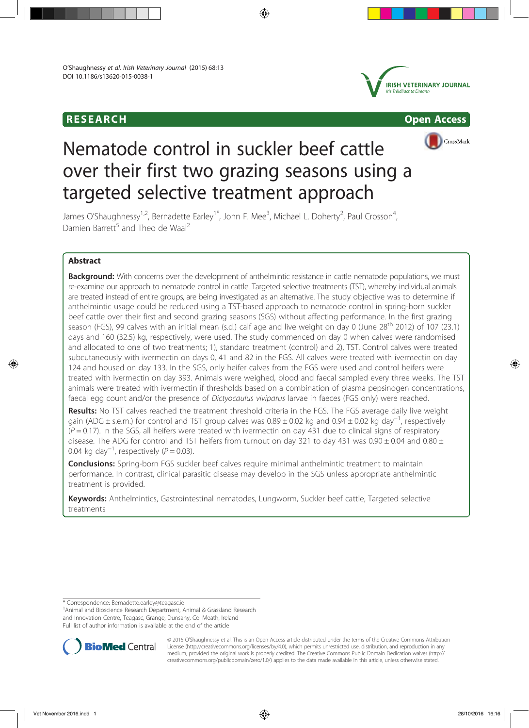





# Nematode control in suckler beef cattle over their first two grazing seasons using a targeted selective treatment approach

James O'Shaughnessy<sup>1,2</sup>, Bernadette Earley<sup>1\*</sup>, John F. Mee<sup>3</sup>, Michael L. Doherty<sup>2</sup>, Paul Crosson<sup>4</sup> , Damien Barrett<sup>5</sup> and Theo de Waal<sup>2</sup>

# Abstract

Background: With concerns over the development of anthelmintic resistance in cattle nematode populations, we must re-examine our approach to nematode control in cattle. Targeted selective treatments (TST), whereby individual animals are treated instead of entire groups, are being investigated as an alternative. The study objective was to determine if anthelmintic usage could be reduced using a TST-based approach to nematode control in spring-born suckler beef cattle over their first and second grazing seasons (SGS) without affecting performance. In the first grazing season (FGS), 99 calves with an initial mean (s.d.) calf age and live weight on day 0 (June 28<sup>th</sup> 2012) of 107 (23.1) days and 160 (32.5) kg, respectively, were used. The study commenced on day 0 when calves were randomised and allocated to one of two treatments; 1), standard treatment (control) and 2), TST. Control calves were treated subcutaneously with ivermectin on days 0, 41 and 82 in the FGS. All calves were treated with ivermectin on day 124 and housed on day 133. In the SGS, only heifer calves from the FGS were used and control heifers were treated with ivermectin on day 393. Animals were weighed, blood and faecal sampled every three weeks. The TST animals were treated with ivermectin if thresholds based on a combination of plasma pepsinogen concentrations, faecal egg count and/or the presence of Dictyocaulus viviparus larvae in faeces (FGS only) were reached.

Results: No TST calves reached the treatment threshold criteria in the FGS. The FGS average daily live weight gain (ADG ± s.e.m.) for control and TST group calves was 0.89 ± 0.02 kg and 0.94 ± 0.02 kg day−<sup>1</sup> , respectively  $(P = 0.17)$ . In the SGS, all heifers were treated with ivermectin on day 431 due to clinical signs of respiratory disease. The ADG for control and TST heifers from turnout on day 321 to day 431 was  $0.90 \pm 0.04$  and  $0.80 \pm$ 0.04 kg day<sup>-1</sup>, respectively ( $P = 0.03$ ).

**Conclusions:** Spring-born FGS suckler beef calves require minimal anthelmintic treatment to maintain performance. In contrast, clinical parasitic disease may develop in the SGS unless appropriate anthelmintic treatment is provided.

Keywords: Anthelmintics, Gastrointestinal nematodes, Lungworm, Suckler beef cattle, Targeted selective treatments

\* Correspondence: Bernadette.earley@teagasc.ie <sup>1</sup>

<sup>1</sup> Animal and Bioscience Research Department, Animal & Grassland Research and Innovation Centre, Teagasc, Grange, Dunsany, Co. Meath, Ireland Full list of author information is available at the end of the article



© 2015 O'Shaughnessy et al. This is an Open Access article distributed under the terms of the Creative Commons Attribution License (http://creativecommons.org/licenses/by/4.0), which permits unrestricted use, distribution, and reproduction in any medium, provided the original work is properly credited. The Creative Commons Public Domain Dedication waiver (http:// creativecommons.org/publicdomain/zero/1.0/) applies to the data made available in this article, unless otherwise stated.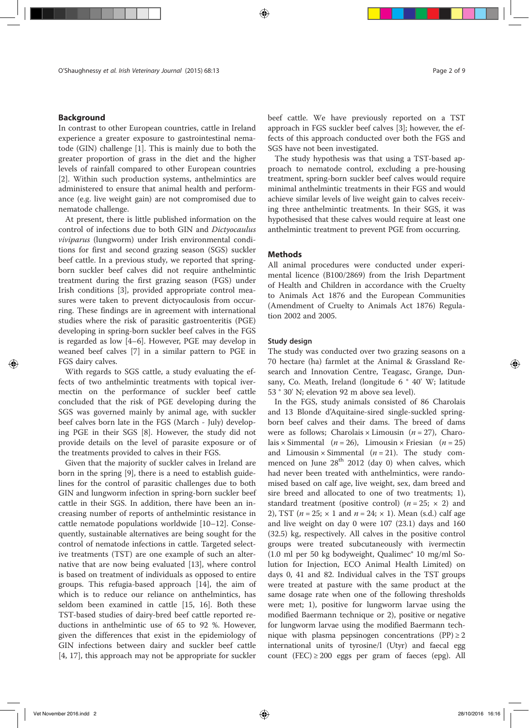# Background

In contrast to other European countries, cattle in Ireland experience a greater exposure to gastrointestinal nematode (GIN) challenge [1]. This is mainly due to both the greater proportion of grass in the diet and the higher levels of rainfall compared to other European countries [2]. Within such production systems, anthelmintics are administered to ensure that animal health and performance (e.g. live weight gain) are not compromised due to nematode challenge.

At present, there is little published information on the control of infections due to both GIN and Dictyocaulus viviparus (lungworm) under Irish environmental conditions for first and second grazing season (SGS) suckler beef cattle. In a previous study, we reported that springborn suckler beef calves did not require anthelmintic treatment during the first grazing season (FGS) under Irish conditions [3], provided appropriate control measures were taken to prevent dictyocaulosis from occurring. These findings are in agreement with international studies where the risk of parasitic gastroenteritis (PGE) developing in spring-born suckler beef calves in the FGS is regarded as low [4–6]. However, PGE may develop in weaned beef calves [7] in a similar pattern to PGE in FGS dairy calves.

With regards to SGS cattle, a study evaluating the effects of two anthelmintic treatments with topical ivermectin on the performance of suckler beef cattle concluded that the risk of PGE developing during the SGS was governed mainly by animal age, with suckler beef calves born late in the FGS (March - July) developing PGE in their SGS [8]. However, the study did not provide details on the level of parasite exposure or of the treatments provided to calves in their FGS.

Given that the majority of suckler calves in Ireland are born in the spring [9], there is a need to establish guidelines for the control of parasitic challenges due to both GIN and lungworm infection in spring-born suckler beef cattle in their SGS. In addition, there have been an increasing number of reports of anthelmintic resistance in cattle nematode populations worldwide [10–12]. Consequently, sustainable alternatives are being sought for the control of nematode infections in cattle. Targeted selective treatments (TST) are one example of such an alternative that are now being evaluated [13], where control is based on treatment of individuals as opposed to entire groups. This refugia-based approach [14], the aim of which is to reduce our reliance on anthelmintics, has seldom been examined in cattle [15, 16]. Both these TST-based studies of dairy-bred beef cattle reported reductions in anthelmintic use of 65 to 92 %. However, given the differences that exist in the epidemiology of GIN infections between dairy and suckler beef cattle [4, 17], this approach may not be appropriate for suckler

beef cattle. We have previously reported on a TST approach in FGS suckler beef calves [3]; however, the effects of this approach conducted over both the FGS and SGS have not been investigated.

The study hypothesis was that using a TST-based approach to nematode control, excluding a pre-housing treatment, spring-born suckler beef calves would require minimal anthelmintic treatments in their FGS and would achieve similar levels of live weight gain to calves receiving three anthelmintic treatments. In their SGS, it was hypothesised that these calves would require at least one anthelmintic treatment to prevent PGE from occurring.

### Methods

All animal procedures were conducted under experimental licence (B100/2869) from the Irish Department of Health and Children in accordance with the Cruelty to Animals Act 1876 and the European Communities (Amendment of Cruelty to Animals Act 1876) Regulation 2002 and 2005.

#### Study design

The study was conducted over two grazing seasons on a 70 hectare (ha) farmlet at the Animal & Grassland Research and Innovation Centre, Teagasc, Grange, Dunsany, Co. Meath, Ireland (longitude 6 ° 40' W; latitude 53 ° 30' N; elevation 92 m above sea level).

In the FGS, study animals consisted of 86 Charolais and 13 Blonde d'Aquitaine-sired single-suckled springborn beef calves and their dams. The breed of dams were as follows; Charolais  $\times$  Limousin (*n* = 27), Charolais  $\times$  Simmental (*n* = 26), Limousin  $\times$  Friesian (*n* = 25) and Limousin  $\times$  Simmental (*n* = 21). The study commenced on June  $28<sup>th</sup>$  2012 (day 0) when calves, which had never been treated with anthelmintics, were randomised based on calf age, live weight, sex, dam breed and sire breed and allocated to one of two treatments; 1), standard treatment (positive control) ( $n = 25$ ;  $\times$  2) and 2), TST ( $n = 25$ ;  $\times$  1 and  $n = 24$ ;  $\times$  1). Mean (s.d.) calf age and live weight on day 0 were 107 (23.1) days and 160 (32.5) kg, respectively. All calves in the positive control groups were treated subcutaneously with ivermectin (1.0 ml per 50 kg bodyweight, Qualimec® 10 mg/ml Solution for Injection, ECO Animal Health Limited) on days 0, 41 and 82. Individual calves in the TST groups were treated at pasture with the same product at the same dosage rate when one of the following thresholds were met; 1), positive for lungworm larvae using the modified Baermann technique or 2), positive or negative for lungworm larvae using the modified Baermann technique with plasma pepsinogen concentrations  $(PP) \ge 2$ international units of tyrosine/l (Utyr) and faecal egg count (FEC)  $\geq$  200 eggs per gram of faeces (epg). All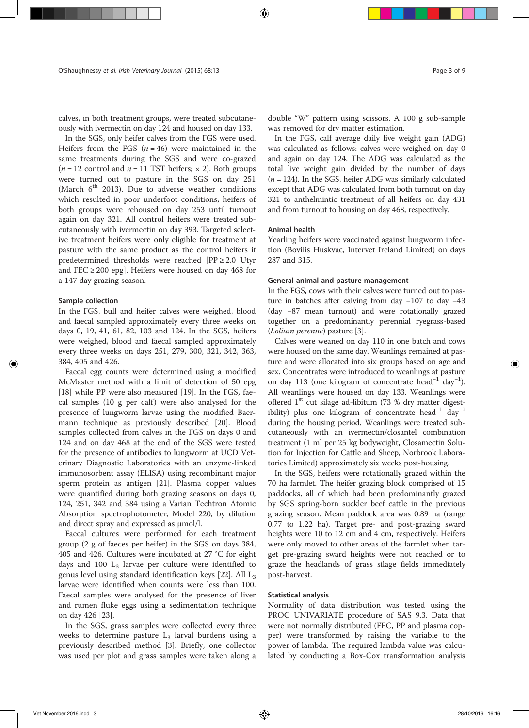calves, in both treatment groups, were treated subcutaneously with ivermectin on day 124 and housed on day 133.

In the SGS, only heifer calves from the FGS were used. Heifers from the FGS  $(n = 46)$  were maintained in the same treatments during the SGS and were co-grazed  $(n = 12 \text{ control and } n = 11 \text{ TST heights}; \times 2)$ . Both groups were turned out to pasture in the SGS on day 251 (March  $6<sup>th</sup>$  2013). Due to adverse weather conditions which resulted in poor underfoot conditions, heifers of both groups were rehoused on day 253 until turnout again on day 321. All control heifers were treated subcutaneously with ivermectin on day 393. Targeted selective treatment heifers were only eligible for treatment at pasture with the same product as the control heifers if predetermined thresholds were reached  $[PP \geq 2.0$  Utyr and FEC  $\geq$  200 epg]. Heifers were housed on day 468 for a 147 day grazing season.

#### Sample collection

In the FGS, bull and heifer calves were weighed, blood and faecal sampled approximately every three weeks on days 0, 19, 41, 61, 82, 103 and 124. In the SGS, heifers were weighed, blood and faecal sampled approximately every three weeks on days 251, 279, 300, 321, 342, 363, 384, 405 and 426.

Faecal egg counts were determined using a modified McMaster method with a limit of detection of 50 epg [18] while PP were also measured [19]. In the FGS, faecal samples  $(10 \text{ g per calf})$  were also analysed for the presence of lungworm larvae using the modified Baermann technique as previously described [20]. Blood samples collected from calves in the FGS on days 0 and 124 and on day 468 at the end of the SGS were tested for the presence of antibodies to lungworm at UCD Veterinary Diagnostic Laboratories with an enzyme-linked immunosorbent assay (ELISA) using recombinant major sperm protein as antigen [21]. Plasma copper values were quantified during both grazing seasons on days 0, 124, 251, 342 and 384 using a Varian Techtron Atomic Absorption spectrophotometer, Model 220, by dilution and direct spray and expressed as μmol/l.

Faecal cultures were performed for each treatment group (2 g of faeces per heifer) in the SGS on days 384, 405 and 426. Cultures were incubated at 27 °C for eight days and 100  $L_3$  larvae per culture were identified to genus level using standard identification keys  $[22]$ . All  $L_3$ larvae were identified when counts were less than 100. Faecal samples were analysed for the presence of liver and rumen fluke eggs using a sedimentation technique on day 426 [23].

In the SGS, grass samples were collected every three weeks to determine pasture  $L_3$  larval burdens using a previously described method [3]. Briefly, one collector was used per plot and grass samples were taken along a double "W" pattern using scissors. A 100 g sub-sample was removed for dry matter estimation.

In the FGS, calf average daily live weight gain (ADG) was calculated as follows: calves were weighed on day 0 and again on day 124. The ADG was calculated as the total live weight gain divided by the number of days  $(n = 124)$ . In the SGS, heifer ADG was similarly calculated except that ADG was calculated from both turnout on day 321 to anthelmintic treatment of all heifers on day 431 and from turnout to housing on day 468, respectively.

# Animal health

Yearling heifers were vaccinated against lungworm infection (Bovilis Huskvac, Intervet Ireland Limited) on days 287 and 315.

# General animal and pasture management

In the FGS, cows with their calves were turned out to pasture in batches after calving from day −107 to day −43 (day −87 mean turnout) and were rotationally grazed together on a predominantly perennial ryegrass-based (Lolium perenne) pasture [3].

Calves were weaned on day 110 in one batch and cows were housed on the same day. Weanlings remained at pasture and were allocated into six groups based on age and sex. Concentrates were introduced to weanlings at pasture on day 113 (one kilogram of concentrate head<sup>-1</sup> day<sup>-1</sup>). All weanlings were housed on day 133. Weanlings were offered  $1<sup>st</sup>$  cut silage ad-libitum (73 % dry matter digestibility) plus one kilogram of concentrate head<sup>-1</sup> day<sup>-1</sup> during the housing period. Weanlings were treated subcutaneously with an ivermectin/closantel combination treatment (1 ml per 25 kg bodyweight, Closamectin Solution for Injection for Cattle and Sheep, Norbrook Laboratories Limited) approximately six weeks post-housing.

In the SGS, heifers were rotationally grazed within the 70 ha farmlet. The heifer grazing block comprised of 15 paddocks, all of which had been predominantly grazed by SGS spring-born suckler beef cattle in the previous grazing season. Mean paddock area was 0.89 ha (range 0.77 to 1.22 ha). Target pre- and post-grazing sward heights were 10 to 12 cm and 4 cm, respectively. Heifers were only moved to other areas of the farmlet when target pre-grazing sward heights were not reached or to graze the headlands of grass silage fields immediately post-harvest.

#### Statistical analysis

Normality of data distribution was tested using the PROC UNIVARIATE procedure of SAS 9.3. Data that were not normally distributed (FEC, PP and plasma copper) were transformed by raising the variable to the power of lambda. The required lambda value was calculated by conducting a Box-Cox transformation analysis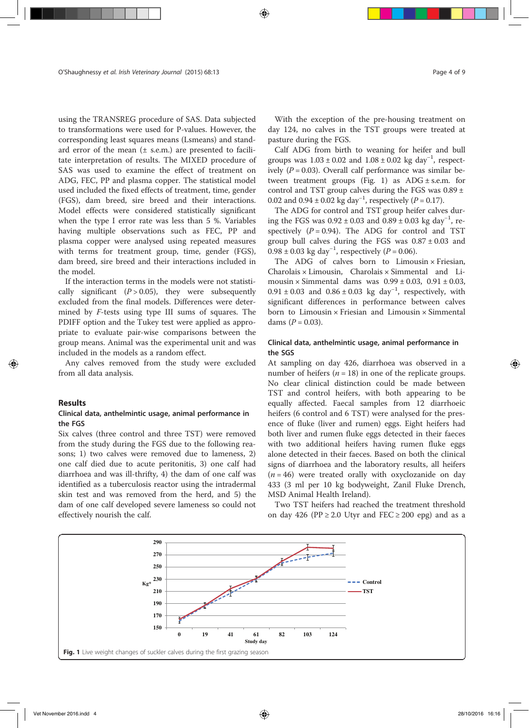using the TRANSREG procedure of SAS. Data subjected to transformations were used for P-values. However, the corresponding least squares means (Lsmeans) and standard error of the mean  $(±$  s.e.m.) are presented to facilitate interpretation of results. The MIXED procedure of SAS was used to examine the effect of treatment on ADG, FEC, PP and plasma copper. The statistical model used included the fixed effects of treatment, time, gender (FGS), dam breed, sire breed and their interactions. Model effects were considered statistically significant when the type I error rate was less than 5 %. Variables having multiple observations such as FEC, PP and plasma copper were analysed using repeated measures with terms for treatment group, time, gender (FGS), dam breed, sire breed and their interactions included in the model.

If the interaction terms in the models were not statistically significant  $(P > 0.05)$ , they were subsequently excluded from the final models. Differences were determined by F-tests using type III sums of squares. The PDIFF option and the Tukey test were applied as appropriate to evaluate pair-wise comparisons between the group means. Animal was the experimental unit and was included in the models as a random effect.

Any calves removed from the study were excluded from all data analysis.

#### Results

## Clinical data, anthelmintic usage, animal performance in the FGS

Six calves (three control and three TST) were removed from the study during the FGS due to the following reasons; 1) two calves were removed due to lameness, 2) one calf died due to acute peritonitis, 3) one calf had diarrhoea and was ill-thrifty, 4) the dam of one calf was identified as a tuberculosis reactor using the intradermal skin test and was removed from the herd, and 5) the dam of one calf developed severe lameness so could not effectively nourish the calf.

With the exception of the pre-housing treatment on day 124, no calves in the TST groups were treated at pasture during the FGS.

Calf ADG from birth to weaning for heifer and bull groups was  $1.03 \pm 0.02$  and  $1.08 \pm 0.02$  kg day<sup>-1</sup>, respectively  $(P = 0.03)$ . Overall calf performance was similar between treatment groups (Fig. 1) as  $ADG \pm s.e.m.$  for control and TST group calves during the FGS was  $0.89 \pm$ 0.02 and  $0.94 \pm 0.02$  kg day<sup>-1</sup>, respectively (P = 0.17).

The ADG for control and TST group heifer calves during the FGS was  $0.92 \pm 0.03$  and  $0.89 \pm 0.03$  kg day<sup>-1</sup>, respectively  $(P = 0.94)$ . The ADG for control and TST group bull calves during the FGS was  $0.87 \pm 0.03$  and  $0.98 \pm 0.03$  kg day<sup>-1</sup>, respectively (P = 0.06).

The ADG of calves born to Limousin × Friesian, Charolais × Limousin, Charolais × Simmental and Limousin  $\times$  Simmental dams was  $0.99 \pm 0.03$ ,  $0.91 \pm 0.03$ ,  $0.91 \pm 0.03$  and  $0.86 \pm 0.03$  kg day<sup>-1</sup>, respectively, with significant differences in performance between calves born to Limousin × Friesian and Limousin × Simmental dams  $(P = 0.03)$ .

# Clinical data, anthelmintic usage, animal performance in the SGS

At sampling on day 426, diarrhoea was observed in a number of heifers ( $n = 18$ ) in one of the replicate groups. No clear clinical distinction could be made between TST and control heifers, with both appearing to be equally affected. Faecal samples from 12 diarrhoeic heifers (6 control and 6 TST) were analysed for the presence of fluke (liver and rumen) eggs. Eight heifers had both liver and rumen fluke eggs detected in their faeces with two additional heifers having rumen fluke eggs alone detected in their faeces. Based on both the clinical signs of diarrhoea and the laboratory results, all heifers  $(n = 46)$  were treated orally with oxyclozanide on day 433 (3 ml per 10 kg bodyweight, Zanil Fluke Drench, MSD Animal Health Ireland).

Two TST heifers had reached the treatment threshold on day 426 (PP  $\geq$  2.0 Utyr and FEC  $\geq$  200 epg) and as a

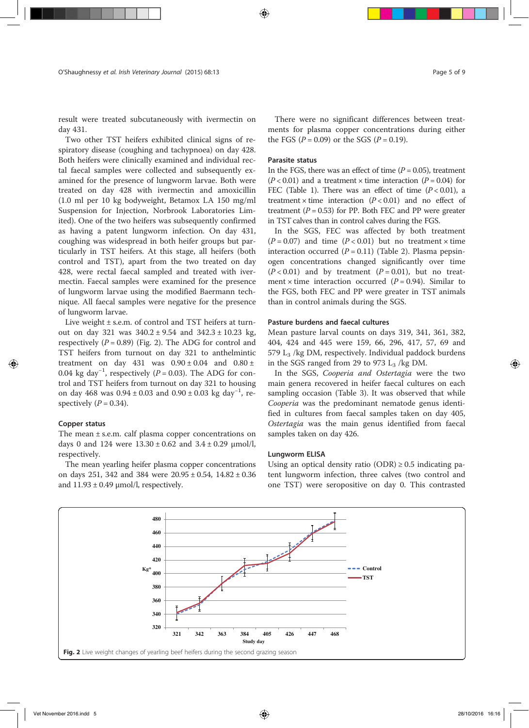result were treated subcutaneously with ivermectin on day 431.

Two other TST heifers exhibited clinical signs of respiratory disease (coughing and tachypnoea) on day 428. Both heifers were clinically examined and individual rectal faecal samples were collected and subsequently examined for the presence of lungworm larvae. Both were treated on day 428 with ivermectin and amoxicillin (1.0 ml per 10 kg bodyweight, Betamox LA 150 mg/ml Suspension for Injection, Norbrook Laboratories Limited). One of the two heifers was subsequently confirmed as having a patent lungworm infection. On day 431, coughing was widespread in both heifer groups but particularly in TST heifers. At this stage, all heifers (both control and TST), apart from the two treated on day 428, were rectal faecal sampled and treated with ivermectin. Faecal samples were examined for the presence of lungworm larvae using the modified Baermann technique. All faecal samples were negative for the presence of lungworm larvae.

Live weight ± s.e.m. of control and TST heifers at turnout on day 321 was  $340.2 \pm 9.54$  and  $342.3 \pm 10.23$  kg, respectively  $(P = 0.89)$  (Fig. 2). The ADG for control and TST heifers from turnout on day 321 to anthelmintic treatment on day 431 was  $0.90 \pm 0.04$  and  $0.80 \pm$ 0.04 kg day<sup>-1</sup>, respectively ( $P = 0.03$ ). The ADG for control and TST heifers from turnout on day 321 to housing on day 468 was  $0.94 \pm 0.03$  and  $0.90 \pm 0.03$  kg day<sup>-1</sup>, respectively  $(P = 0.34)$ .

#### Copper status

The mean  $\pm$  s.e.m. calf plasma copper concentrations on days 0 and 124 were  $13.30 \pm 0.62$  and  $3.4 \pm 0.29$   $\mu$ mol/l, respectively.

The mean yearling heifer plasma copper concentrations on days 251, 342 and 384 were 20.95 ± 0.54, 14.82 ± 0.36 and  $11.93 \pm 0.49$   $\mu$ mol/l, respectively.

There were no significant differences between treatments for plasma copper concentrations during either the FGS ( $P = 0.09$ ) or the SGS ( $P = 0.19$ ).

# Parasite status

In the FGS, there was an effect of time  $(P = 0.05)$ , treatment  $(P < 0.01)$  and a treatment  $\times$  time interaction  $(P = 0.04)$  for FEC (Table 1). There was an effect of time  $(P < 0.01)$ , a treatment  $\times$  time interaction ( $P < 0.01$ ) and no effect of treatment  $(P = 0.53)$  for PP. Both FEC and PP were greater in TST calves than in control calves during the FGS.

In the SGS, FEC was affected by both treatment  $(P = 0.07)$  and time  $(P < 0.01)$  but no treatment × time interaction occurred  $(P = 0.11)$  (Table 2). Plasma pepsinogen concentrations changed significantly over time  $(P < 0.01)$  and by treatment  $(P = 0.01)$ , but no treatment  $\times$  time interaction occurred ( $P = 0.94$ ). Similar to the FGS, both FEC and PP were greater in TST animals than in control animals during the SGS.

# Pasture burdens and faecal cultures

Mean pasture larval counts on days 319, 341, 361, 382, 404, 424 and 445 were 159, 66, 296, 417, 57, 69 and 579  $L_3$  /kg DM, respectively. Individual paddock burdens in the SGS ranged from 29 to 973  $L_3$  /kg DM.

In the SGS, Cooperia and Ostertagia were the two main genera recovered in heifer faecal cultures on each sampling occasion (Table 3). It was observed that while Cooperia was the predominant nematode genus identified in cultures from faecal samples taken on day 405, Ostertagia was the main genus identified from faecal samples taken on day 426.

### Lungworm ELISA

Using an optical density ratio  $(ODR) \ge 0.5$  indicating patent lungworm infection, three calves (two control and one TST) were seropositive on day 0. This contrasted

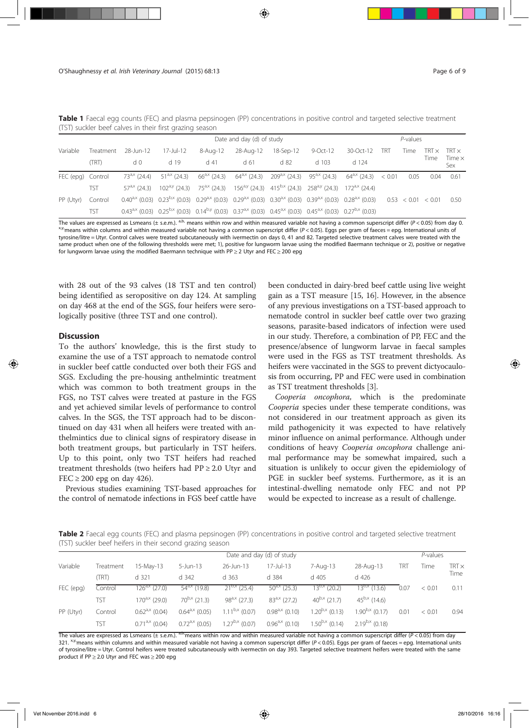|                   | Date and day (d) of study |                       |           |                                                                                                                                                                  |                 |           |          |           |     | $P$ -values |      |                      |  |
|-------------------|---------------------------|-----------------------|-----------|------------------------------------------------------------------------------------------------------------------------------------------------------------------|-----------------|-----------|----------|-----------|-----|-------------|------|----------------------|--|
| Variable          | Treatment                 | 28-Jun-12             | 17-Jul-12 | 8-Aug-12                                                                                                                                                         | 28-Aug-12       | 18-Sep-12 | 9-Oct-12 | 30-Oct-12 | TRT | Time        |      | $TRTX$ TRT $\times$  |  |
|                   | (TRT)                     | d <sub>0</sub>        | d 19      | $d$ 41                                                                                                                                                           | d <sub>61</sub> | d 82      | $d$ 103  | d 124     |     |             | Time | Time $\times$<br>Sex |  |
| FEC (epg) Control |                           |                       |           | $73^{a}$ (24.4) $51^{a}$ (24.3) $66^{a}$ (24.3) $64^{a}$ (24.3) $209^{a}$ (24.3) $95^{a}$ (24.3) $64^{a}$ (24.3) $64^{a}$ (24.3) $40^{a}$ (24.3) $40^{a}$        |                 |           |          |           |     | 0.05        | 0.04 | 0.61                 |  |
|                   | TST                       | $57^{\rm a,x}$ (24.3) |           | $102^{a,y}$ (24.3) $75^{a,x}$ (24.3) $156^{a,y}$ (24.3) $415^{b,x}$ (24.3) $258^{a,y}$ (24.3) $172^{a,x}$ (24.4)                                                 |                 |           |          |           |     |             |      |                      |  |
| PP (Utyr)         | Control                   |                       |           | $0.40^{a.x}$ (0.03) $0.23^{b.x}$ (0.03) $0.29^{a.x}$ (0.03) $0.29^{a.x}$ (0.03) $0.30^{a.x}$ (0.03) $0.39^{a.x}$ (0.03) $0.28^{a.x}$ (0.03) $0.53 < 0.01 < 0.01$ |                 |           |          |           |     |             |      | 0.50                 |  |
|                   | <b>TST</b>                |                       |           | $0.43^{a}$ (0.03) $0.25^{b}$ (0.03) $0.14^{b}$ (0.03) $0.37^{a}$ (0.03) $0.45^{a}$ (0.03) $0.45^{a}$ (0.03) $0.27^{b}$ (0.03)                                    |                 |           |          |           |     |             |      |                      |  |

Table 1 Faecal egg counts (FEC) and plasma pepsinogen (PP) concentrations in positive control and targeted selective treatment (TST) suckler beef calves in their first grazing season

The values are expressed as Lsmeans (± s.e.m.). <sup>a,b,</sup> means within row and within measured variable not having a common superscript differ (P < 0.05) from day 0.<br><sup>x,y</sup>means within columns and within measured variable not tyrosine/litre = Utyr. Control calves were treated subcutaneously with ivermectin on days 0, 41 and 82. Targeted selective treatment calves were treated with the same product when one of the following thresholds were met; 1), positive for lungworm larvae using the modified Baermann technique or 2), positive or negative for lungworm larvae using the modified Baermann technique with PP  $\geq$  2 Utyr and FEC  $\geq$  200 epg

with 28 out of the 93 calves (18 TST and ten control) being identified as seropositive on day 124. At sampling on day 468 at the end of the SGS, four heifers were serologically positive (three TST and one control).

#### **Discussion**

To the authors' knowledge, this is the first study to examine the use of a TST approach to nematode control in suckler beef cattle conducted over both their FGS and SGS. Excluding the pre-housing anthelmintic treatment which was common to both treatment groups in the FGS, no TST calves were treated at pasture in the FGS and yet achieved similar levels of performance to control calves. In the SGS, the TST approach had to be discontinued on day 431 when all heifers were treated with anthelmintics due to clinical signs of respiratory disease in both treatment groups, but particularly in TST heifers. Up to this point, only two TST heifers had reached treatment thresholds (two heifers had PP ≥ 2.0 Utyr and FEC  $\geq$  200 epg on day 426).

Previous studies examining TST-based approaches for the control of nematode infections in FGS beef cattle have been conducted in dairy-bred beef cattle using live weight gain as a TST measure [15, 16]. However, in the absence of any previous investigations on a TST-based approach to nematode control in suckler beef cattle over two grazing seasons, parasite-based indicators of infection were used in our study. Therefore, a combination of PP, FEC and the presence/absence of lungworm larvae in faecal samples were used in the FGS as TST treatment thresholds. As heifers were vaccinated in the SGS to prevent dictyocaulosis from occurring, PP and FEC were used in combination as TST treatment thresholds [3].

Cooperia oncophora, which is the predominate Cooperia species under these temperate conditions, was not considered in our treatment approach as given its mild pathogenicity it was expected to have relatively minor influence on animal performance. Although under conditions of heavy Cooperia oncophora challenge animal performance may be somewhat impaired, such a situation is unlikely to occur given the epidemiology of PGE in suckler beef systems. Furthermore, as it is an intestinal-dwelling nematode only FEC and not PP would be expected to increase as a result of challenge.

Table 2 Faecal egg counts (FEC) and plasma pepsinogen (PP) concentrations in positive control and targeted selective treatment (TST) suckler beef heifers in their second grazing season

|           | Date and day (d) of study |                         |                     |                     |                     |                     |                     |      | $P$ -values |              |
|-----------|---------------------------|-------------------------|---------------------|---------------------|---------------------|---------------------|---------------------|------|-------------|--------------|
| Variable  | Treatment                 | 15-May-13               | $5 - Jun-13$        | 26-Jun-13           | 17-Jul-13           | 7-Aug-13            | 28-Aug-13           | TRT  | Time        | TRT $\times$ |
|           | (TRT)                     | d 321                   | d 342               | d 363               | $d$ 384             | d 405               | $d$ 426             |      |             | Time         |
| FEC (epg) | Control                   | $\sqrt{126^{a}}$ (27.0) | $54^{a}$ (19.8)     | $21^{b,x}$ (25.4)   | $50^{a,x}$ (25.3)   | $13^{b,x}$ (20.2)   | $13^{b,x}$ (13.6)   | 0.07 | < 0.01      | 0.11         |
|           | TST                       | $170^{a,x}$ (29.0)      | $70^{b,x}$ (21.3)   | $98^{a,x}$ (27.3)   | $83^{a,x}$ (27.2)   | $40^{b,x}$ (21.7)   | $45^{b,x}$ (14.6)   |      |             |              |
| PP (Utyr) | Control                   | $0.62^{a,x}$ (0.04)     | $0.64^{a,x}$ (0.05) | $1.11^{b,x}$ (0.07) | $0.98^{a}$ (0.10)   | $1.20^{b,x}$ (0.13) | $1.90^{b,x}$ (0.17) | 0.01 | < 0.01      | 0.94         |
|           | TST                       | $0.71^{a,x}$ (0.04)     | $0.72^{a,x}$ (0.05) | $1.27^{b,x}$ (0.07) | $0.96^{a,x}$ (0.10) | $1.50^{b,x}$ (0.14) | $2.19^{b,x}$ (0.18) |      |             |              |

The values are expressed as Lsmeans (± s.e.m.). <sup>a,b</sup>,means within row and within measured variable not having a common superscript differ (P < 0.05) from day 321.  $x_{\text{w}}$  means within columns and within measured variable not having a common superscript differ ( $P < 0.05$ ). Eggs per gram of faeces = epg. International units of tyrosine/litre = Utyr. Control heifers were treated subcutaneously with ivermectin on day 393. Targeted selective treatment heifers were treated with the same product if PP ≥ 2.0 Utyr and FEC was ≥ 200 epg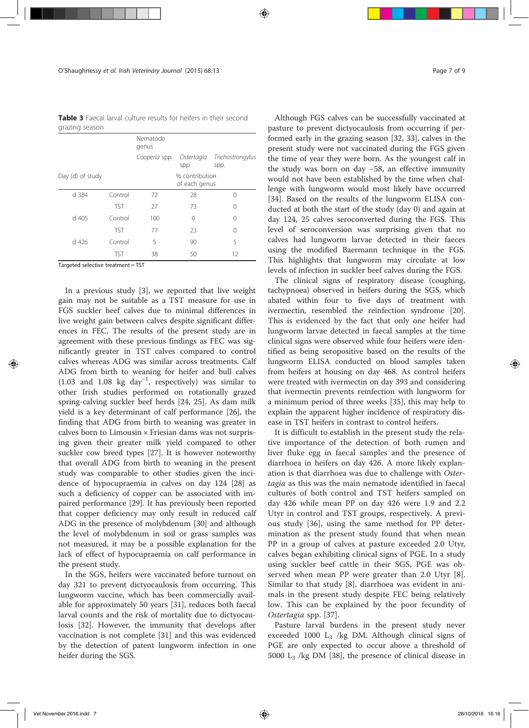Table 3 Faecal larval culture results for heifers in their second grazing season

|                  |            | Nematode<br>genus               |                    |                          |  |  |
|------------------|------------|---------------------------------|--------------------|--------------------------|--|--|
|                  |            | Cooperia spp.                   | Ostertagia<br>spp. | Trichostrongylus<br>spp. |  |  |
| Day (d) of study |            | % contribution<br>of each genus |                    |                          |  |  |
| d 384            | Control    | 72                              | 28                 | $\Omega$                 |  |  |
|                  | <b>TST</b> | 27                              | 73                 | $\Omega$                 |  |  |
| d 405            | Control    | 100                             | 0                  | $\Omega$                 |  |  |
|                  | <b>TST</b> | 77                              | 23                 | $\Omega$                 |  |  |
| $d$ 426          | Control    | 5                               | 90                 | 5                        |  |  |
|                  | TST        | 38                              | 50                 | 12                       |  |  |

Targeted selective treatment = TST

In a previous study [3], we reported that live weight gain may not be suitable as a TST measure for use in FGS suckler beef calves due to minimal differences in live weight gain between calves despite significant differences in FEC. The results of the present study are in agreement with these previous findings as FEC was significantly greater in TST calves compared to control calves whereas ADG was similar across treatments. Calf ADG from birth to weaning for heifer and bull calves (1.03 and 1.08 kg day−<sup>1</sup> , respectively) was similar to other Irish studies performed on rotationally grazed spring-calving suckler beef herds [24, 25]. As dam milk yield is a key determinant of calf performance [26], the finding that ADG from birth to weaning was greater in calves born to Limousin × Friesian dams was not surprising given their greater milk yield compared to other suckler cow breed types [27]. It is however noteworthy that overall ADG from birth to weaning in the present study was comparable to other studies given the incidence of hypocupraemia in calves on day 124 [28] as such a deficiency of copper can be associated with impaired performance [29]. It has previously been reported that copper deficiency may only result in reduced calf ADG in the presence of molybdenum [30] and although the level of molybdenum in soil or grass samples was not measured, it may be a possible explanation for the lack of effect of hypocupraemia on calf performance in the present study.

In the SGS, heifers were vaccinated before turnout on day 321 to prevent dictyocaulosis from occurring. This lungworm vaccine, which has been commercially available for approximately 50 years [31], reduces both faecal larval counts and the risk of mortality due to dictyocaulosis [32]. However, the immunity that develops after vaccination is not complete [31] and this was evidenced by the detection of patent lungworm infection in one heifer during the SGS.

Although FGS calves can be successfully vaccinated at pasture to prevent dictyocaulosis from occurring if performed early in the grazing season [32, 33], calves in the present study were not vaccinated during the FGS given the time of year they were born. As the youngest calf in the study was born on day −58, an effective immunity would not have been established by the time when challenge with lungworm would most likely have occurred [34]. Based on the results of the lungworm ELISA conducted at both the start of the study (day 0) and again at day 124, 25 calves seroconverted during the FGS. This level of seroconversion was surprising given that no calves had lungworm larvae detected in their faeces using the modified Baermann technique in the FGS. This highlights that lungworm may circulate at low levels of infection in suckler beef calves during the FGS.

The clinical signs of respiratory disease (coughing, tachypnoea) observed in heifers during the SGS, which abated within four to five days of treatment with ivermectin, resembled the reinfection syndrome [20]. This is evidenced by the fact that only one heifer had lungworm larvae detected in faecal samples at the time clinical signs were observed while four heifers were identified as being seropositive based on the results of the lungworm ELISA conducted on blood samples taken from heifers at housing on day 468. As control heifers were treated with ivermectin on day 393 and considering that ivermectin prevents reinfection with lungworm for a minimum period of three weeks [35], this may help to explain the apparent higher incidence of respiratory disease in TST heifers in contrast to control heifers.

It is difficult to establish in the present study the relative importance of the detection of both rumen and liver fluke egg in faecal samples and the presence of diarrhoea in heifers on day 426. A more likely explanation is that diarrhoea was due to challenge with Ostertagia as this was the main nematode identified in faecal cultures of both control and TST heifers sampled on day 426 while mean PP on day 426 were 1.9 and 2.2 Utyr in control and TST groups, respectively. A previous study [36], using the same method for PP determination as the present study found that when mean PP in a group of calves at pasture exceeded 2.0 Utyr, calves began exhibiting clinical signs of PGE. In a study using suckler beef cattle in their SGS, PGE was observed when mean PP were greater than 2.0 Utyr [8]. Similar to that study [8], diarrhoea was evident in animals in the present study despite FEC being relatively low. This can be explained by the poor fecundity of Ostertagia spp. [37].

Pasture larval burdens in the present study never exceeded 1000  $L_3$  /kg DM. Although clinical signs of PGE are only expected to occur above a threshold of 5000 L3 /kg DM [38], the presence of clinical disease in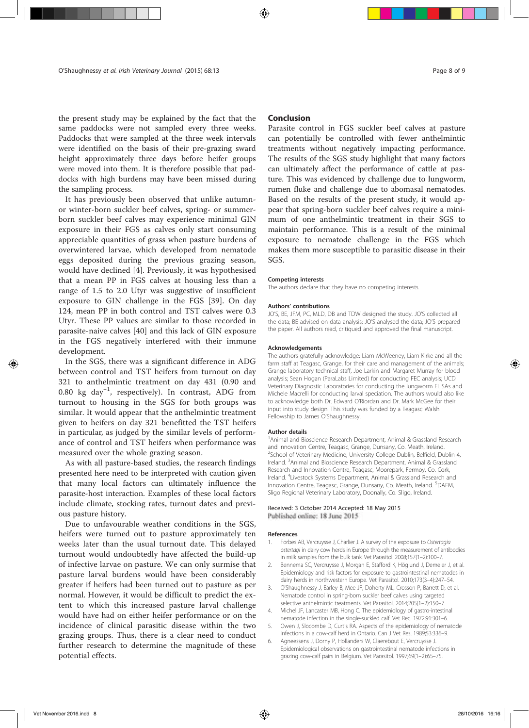the present study may be explained by the fact that the same paddocks were not sampled every three weeks. Paddocks that were sampled at the three week intervals were identified on the basis of their pre-grazing sward height approximately three days before heifer groups were moved into them. It is therefore possible that paddocks with high burdens may have been missed during the sampling process.

It has previously been observed that unlike autumnor winter-born suckler beef calves, spring- or summerborn suckler beef calves may experience minimal GIN exposure in their FGS as calves only start consuming appreciable quantities of grass when pasture burdens of overwintered larvae, which developed from nematode eggs deposited during the previous grazing season, would have declined [4]. Previously, it was hypothesised that a mean PP in FGS calves at housing less than a range of 1.5 to 2.0 Utyr was suggestive of insufficient exposure to GIN challenge in the FGS [39]. On day 124, mean PP in both control and TST calves were 0.3 Utyr. These PP values are similar to those recorded in parasite-naive calves [40] and this lack of GIN exposure in the FGS negatively interfered with their immune development.

In the SGS, there was a significant difference in ADG between control and TST heifers from turnout on day 321 to anthelmintic treatment on day 431 (0.90 and 0.80 kg day−<sup>1</sup> , respectively). In contrast, ADG from turnout to housing in the SGS for both groups was similar. It would appear that the anthelmintic treatment given to heifers on day 321 benefitted the TST heifers in particular, as judged by the similar levels of performance of control and TST heifers when performance was measured over the whole grazing season.

As with all pasture-based studies, the research findings presented here need to be interpreted with caution given that many local factors can ultimately influence the parasite-host interaction. Examples of these local factors include climate, stocking rates, turnout dates and previous pasture history.

Due to unfavourable weather conditions in the SGS, heifers were turned out to pasture approximately ten weeks later than the usual turnout date. This delayed turnout would undoubtedly have affected the build-up of infective larvae on pasture. We can only surmise that pasture larval burdens would have been considerably greater if heifers had been turned out to pasture as per normal. However, it would be difficult to predict the extent to which this increased pasture larval challenge would have had on either heifer performance or on the incidence of clinical parasitic disease within the two grazing groups. Thus, there is a clear need to conduct further research to determine the magnitude of these potential effects.

# Conclusion

Parasite control in FGS suckler beef calves at pasture can potentially be controlled with fewer anthelmintic treatments without negatively impacting performance. The results of the SGS study highlight that many factors can ultimately affect the performance of cattle at pasture. This was evidenced by challenge due to lungworm, rumen fluke and challenge due to abomasal nematodes. Based on the results of the present study, it would appear that spring-born suckler beef calves require a minimum of one anthelmintic treatment in their SGS to maintain performance. This is a result of the minimal exposure to nematode challenge in the FGS which makes them more susceptible to parasitic disease in their SGS.

#### Competing interests

The authors declare that they have no competing interests.

#### Authors' contributions

JO'S, BE, JFM, PC, MLD, DB and TDW designed the study. JO'S collected all the data; BE advised on data analysis; JO'S analysed the data; JO'S prepared the paper. All authors read, critiqued and approved the final manuscript.

#### Acknowledgements

The authors gratefully acknowledge: Liam McWeeney, Liam Kirke and all the farm staff at Teagasc, Grange, for their care and management of the animals; Grange laboratory technical staff, Joe Larkin and Margaret Murray for blood analysis; Sean Hogan (ParaLabs Limited) for conducting FEC analysis; UCD Veterinary Diagnostic Laboratories for conducting the lungworm ELISAs and Michele Macrelli for conducting larval speciation. The authors would also like to acknowledge both Dr. Edward O'Riordan and Dr. Mark McGee for their input into study design. This study was funded by a Teagasc Walsh Fellowship to James O'Shaughnessy.

#### Author details

<sup>1</sup> Animal and Bioscience Research Department, Animal & Grassland Research and Innovation Centre, Teagasc, Grange, Dunsany, Co. Meath, Ireland. <sup>2</sup>School of Veterinary Medicine, University College Dublin, Belfield, Dublin 4, Ireland. <sup>3</sup>Animal and Bioscience Research Department, Animal & Grassland Research and Innovation Centre, Teagasc, Moorepark, Fermoy, Co. Cork, Ireland. <sup>4</sup> Livestock Systems Department, Animal & Grassland Research and Innovation Centre, Teagasc, Grange, Dunsany, Co. Meath, Ireland. <sup>5</sup>DAFM, Sligo Regional Veterinary Laboratory, Doonally, Co. Sligo, Ireland.

#### Received: 3 October 2014 Accepted: 18 May 2015 Published online: 18 June 2015

#### References

- 1. Forbes AB, Vercruysse J, Charlier J. A survey of the exposure to Ostertagia ostertagi in dairy cow herds in Europe through the measurement of antibodies in milk samples from the bulk tank. Vet Parasitol. 2008;157(1–2):100–7.
- 2. Bennema SC, Vercruysse J, Morgan E, Stafford K, Höglund J, Demeler J, et al. Epidemiology and risk factors for exposure to gastrointestinal nematodes in dairy herds in northwestern Europe. Vet Parasitol. 2010;173(3–4):247–54.
- 3. O'Shaughnessy J, Earley B, Mee JF, Doherty ML, Crosson P, Barrett D, et al. Nematode control in spring-born suckler beef calves using targeted selective anthelmintic treatments. Vet Parasitol. 2014;205(1–2):150–7.
- 4. Michel JF, Lancaster MB, Hong C. The epidemiology of gastro-intestinal nematode infection in the single-suckled calf. Vet Rec. 1972;91:301–6.
- 5. Owen J, Slocombe D, Curtis RA. Aspects of the epidemiology of nematode infections in a cow-calf herd in Ontario. Can J Vet Res. 1989;53:336–9.
- 6. Agneessens J, Dorny P, Hollanders W, Claerebout E, Vercruysse J. Epidemiological observations on gastrointestinal nematode infections in grazing cow-calf pairs in Belgium. Vet Parasitol. 1997;69(1–2):65–75.